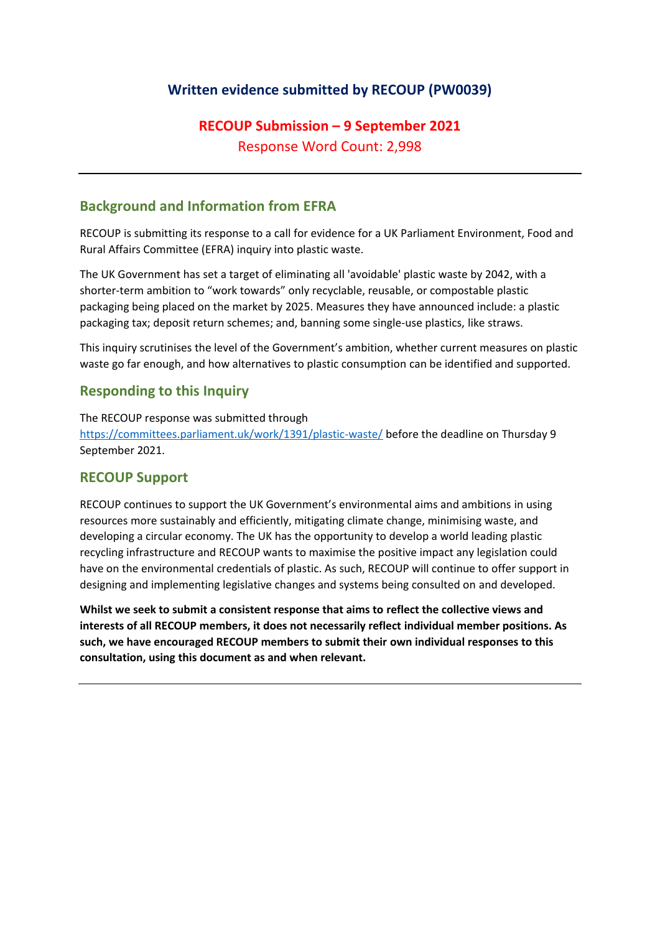## **Written evidence submitted by RECOUP (PW0039)**

# **RECOUP Submission – 9 September 2021** Response Word Count: 2,998

### **Background and Information from EFRA**

RECOUP is submitting its response to a call for evidence for a UK Parliament Environment, Food and Rural Affairs Committee (EFRA) inquiry into plastic waste.

The UK Government has set a target of eliminating all 'avoidable' plastic waste by 2042, with a shorter-term ambition to "work towards" only recyclable, reusable, or compostable plastic packaging being placed on the market by 2025. Measures they have announced include: a plastic packaging tax; deposit return schemes; and, banning some single-use plastics, like straws.

This inquiry scrutinises the level of the Government's ambition, whether current measures on plastic waste go far enough, and how alternatives to plastic consumption can be identified and supported.

#### **Responding to this Inquiry**

The RECOUP response was submitted through <https://committees.parliament.uk/work/1391/plastic-waste/> before the deadline on Thursday 9 September 2021.

#### **RECOUP Support**

RECOUP continues to support the UK Government's environmental aims and ambitions in using resources more sustainably and efficiently, mitigating climate change, minimising waste, and developing a circular economy. The UK has the opportunity to develop a world leading plastic recycling infrastructure and RECOUP wants to maximise the positive impact any legislation could have on the environmental credentials of plastic. As such, RECOUP will continue to offer support in designing and implementing legislative changes and systems being consulted on and developed.

**Whilst we seek to submit a consistent response that aims to reflect the collective views and interests of all RECOUP members, it does not necessarily reflect individual member positions. As such, we have encouraged RECOUP members to submit their own individual responses to this consultation, using this document as and when relevant.**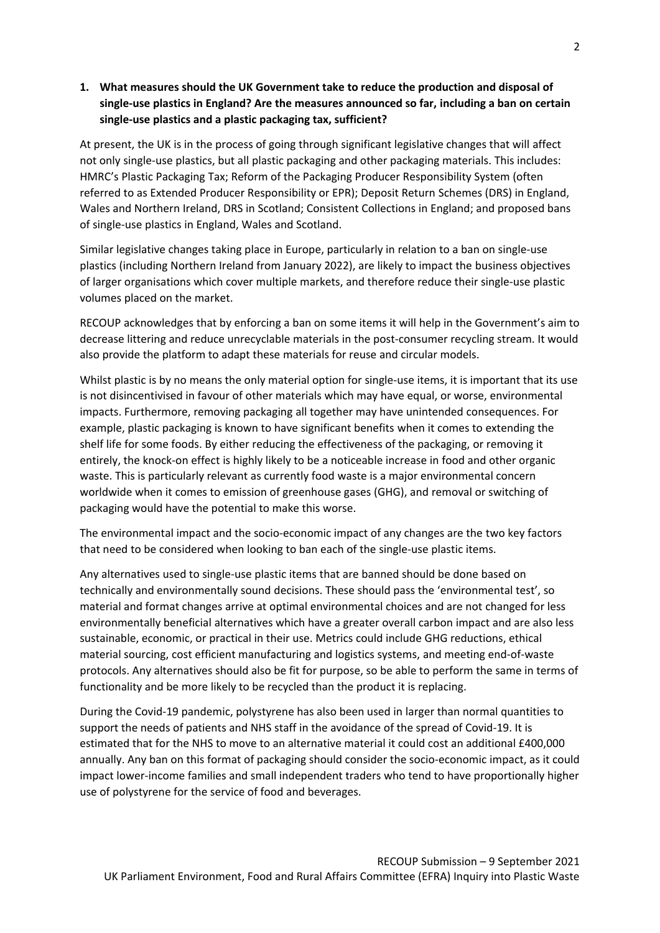#### **1. What measures should the UK Government take to reduce the production and disposal of single-use plastics in England? Are the measures announced so far, including a ban on certain single-use plastics and a plastic packaging tax, sufficient?**

At present, the UK is in the process of going through significant legislative changes that will affect not only single-use plastics, but all plastic packaging and other packaging materials. This includes: HMRC's Plastic Packaging Tax; Reform of the Packaging Producer Responsibility System (often referred to as Extended Producer Responsibility or EPR); Deposit Return Schemes (DRS) in England, Wales and Northern Ireland, DRS in Scotland; Consistent Collections in England; and proposed bans of single-use plastics in England, Wales and Scotland.

Similar legislative changes taking place in Europe, particularly in relation to a ban on single-use plastics (including Northern Ireland from January 2022), are likely to impact the business objectives of larger organisations which cover multiple markets, and therefore reduce their single-use plastic volumes placed on the market.

RECOUP acknowledges that by enforcing a ban on some items it will help in the Government's aim to decrease littering and reduce unrecyclable materials in the post-consumer recycling stream. It would also provide the platform to adapt these materials for reuse and circular models.

Whilst plastic is by no means the only material option for single-use items, it is important that its use is not disincentivised in favour of other materials which may have equal, or worse, environmental impacts. Furthermore, removing packaging all together may have unintended consequences. For example, plastic packaging is known to have significant benefits when it comes to extending the shelf life for some foods. By either reducing the effectiveness of the packaging, or removing it entirely, the knock-on effect is highly likely to be a noticeable increase in food and other organic waste. This is particularly relevant as currently food waste is a major environmental concern worldwide when it comes to emission of greenhouse gases (GHG), and removal or switching of packaging would have the potential to make this worse.

The environmental impact and the socio-economic impact of any changes are the two key factors that need to be considered when looking to ban each of the single-use plastic items.

Any alternatives used to single-use plastic items that are banned should be done based on technically and environmentally sound decisions. These should pass the 'environmental test', so material and format changes arrive at optimal environmental choices and are not changed for less environmentally beneficial alternatives which have a greater overall carbon impact and are also less sustainable, economic, or practical in their use. Metrics could include GHG reductions, ethical material sourcing, cost efficient manufacturing and logistics systems, and meeting end-of-waste protocols. Any alternatives should also be fit for purpose, so be able to perform the same in terms of functionality and be more likely to be recycled than the product it is replacing.

During the Covid-19 pandemic, polystyrene has also been used in larger than normal quantities to support the needs of patients and NHS staff in the avoidance of the spread of Covid-19. It is estimated that for the NHS to move to an alternative material it could cost an additional £400,000 annually. Any ban on this format of packaging should consider the socio-economic impact, as it could impact lower-income families and small independent traders who tend to have proportionally higher use of polystyrene for the service of food and beverages.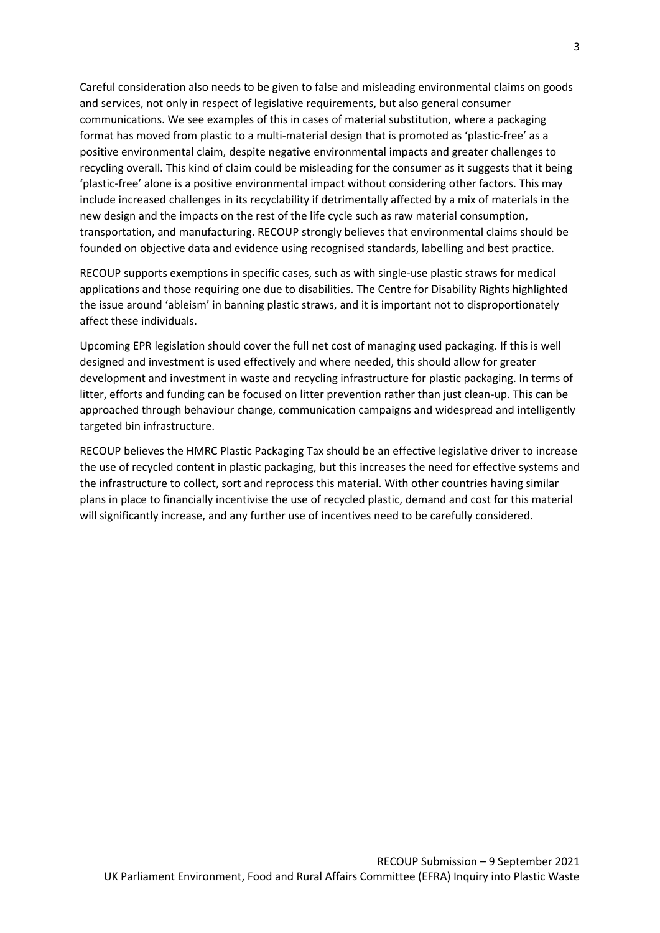Careful consideration also needs to be given to false and misleading environmental claims on goods and services, not only in respect of legislative requirements, but also general consumer communications. We see examples of this in cases of material substitution, where a packaging format has moved from plastic to a multi-material design that is promoted as 'plastic-free' as a positive environmental claim, despite negative environmental impacts and greater challenges to recycling overall. This kind of claim could be misleading for the consumer as it suggests that it being 'plastic-free' alone is a positive environmental impact without considering other factors. This may include increased challenges in its recyclability if detrimentally affected by a mix of materials in the new design and the impacts on the rest of the life cycle such as raw material consumption, transportation, and manufacturing. RECOUP strongly believes that environmental claims should be founded on objective data and evidence using recognised standards, labelling and best practice.

RECOUP supports exemptions in specific cases, such as with single-use plastic straws for medical applications and those requiring one due to disabilities. The Centre for Disability Rights highlighted the issue around 'ableism' in banning plastic straws, and it is important not to disproportionately affect these individuals.

Upcoming EPR legislation should cover the full net cost of managing used packaging. If this is well designed and investment is used effectively and where needed, this should allow for greater development and investment in waste and recycling infrastructure for plastic packaging. In terms of litter, efforts and funding can be focused on litter prevention rather than just clean-up. This can be approached through behaviour change, communication campaigns and widespread and intelligently targeted bin infrastructure.

RECOUP believes the HMRC Plastic Packaging Tax should be an effective legislative driver to increase the use of recycled content in plastic packaging, but this increases the need for effective systems and the infrastructure to collect, sort and reprocess this material. With other countries having similar plans in place to financially incentivise the use of recycled plastic, demand and cost for this material will significantly increase, and any further use of incentives need to be carefully considered.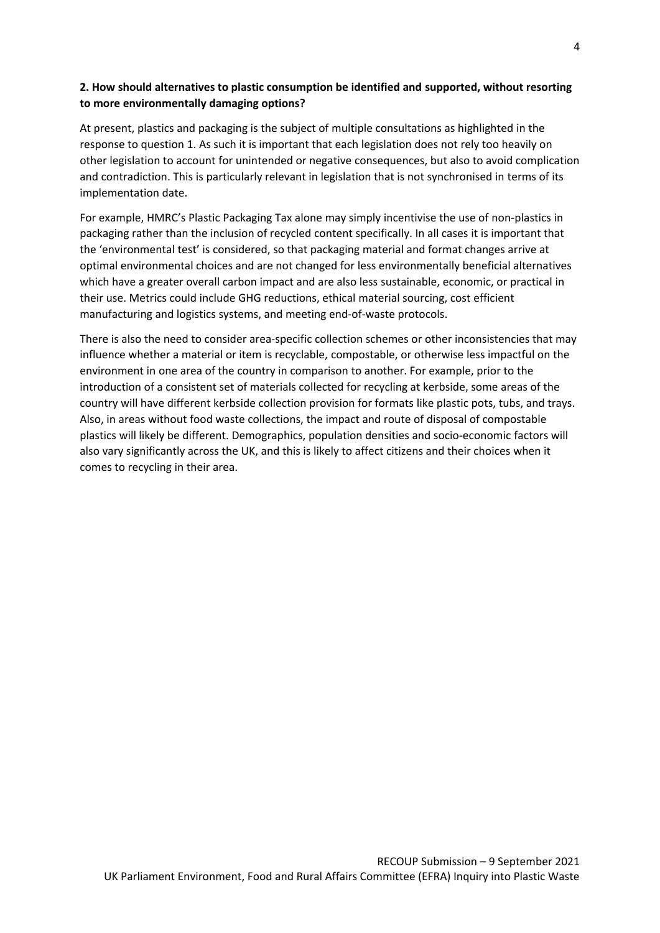#### **2. How should alternatives to plastic consumption be identified and supported, without resorting to more environmentally damaging options?**

At present, plastics and packaging is the subject of multiple consultations as highlighted in the response to question 1. As such it is important that each legislation does not rely too heavily on other legislation to account for unintended or negative consequences, but also to avoid complication and contradiction. This is particularly relevant in legislation that is not synchronised in terms of its implementation date.

For example, HMRC's Plastic Packaging Tax alone may simply incentivise the use of non-plastics in packaging rather than the inclusion of recycled content specifically. In all cases it is important that the 'environmental test' is considered, so that packaging material and format changes arrive at optimal environmental choices and are not changed for less environmentally beneficial alternatives which have a greater overall carbon impact and are also less sustainable, economic, or practical in their use. Metrics could include GHG reductions, ethical material sourcing, cost efficient manufacturing and logistics systems, and meeting end-of-waste protocols.

There is also the need to consider area-specific collection schemes or other inconsistencies that may influence whether a material or item is recyclable, compostable, or otherwise less impactful on the environment in one area of the country in comparison to another. For example, prior to the introduction of a consistent set of materials collected for recycling at kerbside, some areas of the country will have different kerbside collection provision for formats like plastic pots, tubs, and trays. Also, in areas without food waste collections, the impact and route of disposal of compostable plastics will likely be different. Demographics, population densities and socio-economic factors will also vary significantly across the UK, and this is likely to affect citizens and their choices when it comes to recycling in their area.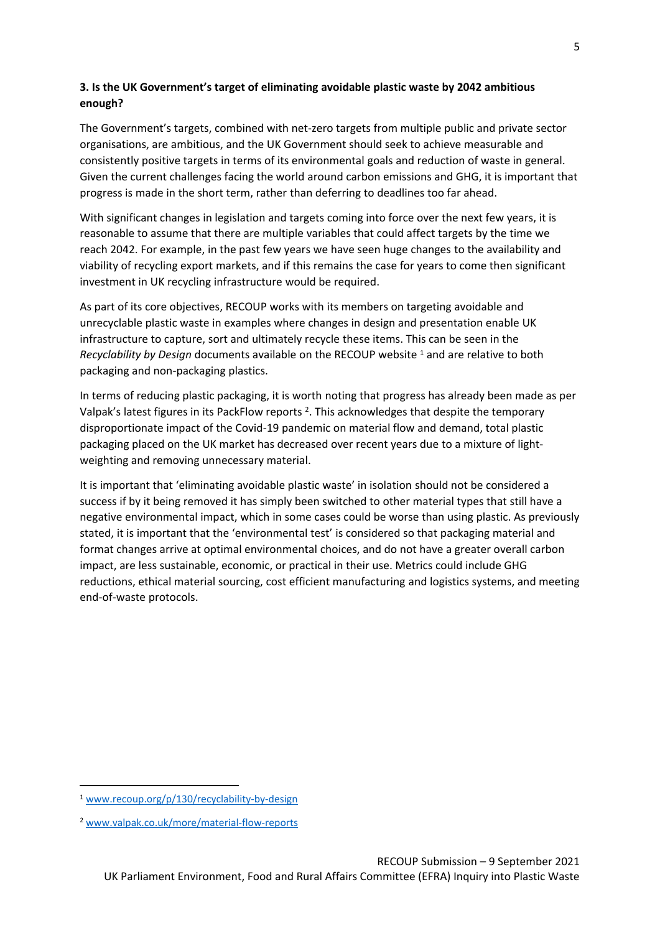#### **3. Is the UK Government's target of eliminating avoidable plastic waste by 2042 ambitious enough?**

The Government's targets, combined with net-zero targets from multiple public and private sector organisations, are ambitious, and the UK Government should seek to achieve measurable and consistently positive targets in terms of its environmental goals and reduction of waste in general. Given the current challenges facing the world around carbon emissions and GHG, it is important that progress is made in the short term, rather than deferring to deadlines too far ahead.

With significant changes in legislation and targets coming into force over the next few years, it is reasonable to assume that there are multiple variables that could affect targets by the time we reach 2042. For example, in the past few years we have seen huge changes to the availability and viability of recycling export markets, and if this remains the case for years to come then significant investment in UK recycling infrastructure would be required.

As part of its core objectives, RECOUP works with its members on targeting avoidable and unrecyclable plastic waste in examples where changes in design and presentation enable UK infrastructure to capture, sort and ultimately recycle these items. This can be seen in the *Recyclability by Design* documents available on the RECOUP website <sup>1</sup> and are relative to both packaging and non-packaging plastics.

In terms of reducing plastic packaging, it is worth noting that progress has already been made as per Valpak's latest figures in its PackFlow reports <sup>2</sup>. This acknowledges that despite the temporary disproportionate impact of the Covid-19 pandemic on material flow and demand, total plastic packaging placed on the UK market has decreased over recent years due to a mixture of lightweighting and removing unnecessary material.

It is important that 'eliminating avoidable plastic waste' in isolation should not be considered a success if by it being removed it has simply been switched to other material types that still have a negative environmental impact, which in some cases could be worse than using plastic. As previously stated, it is important that the 'environmental test' is considered so that packaging material and format changes arrive at optimal environmental choices, and do not have a greater overall carbon impact, are less sustainable, economic, or practical in their use. Metrics could include GHG reductions, ethical material sourcing, cost efficient manufacturing and logistics systems, and meeting end-of-waste protocols.

<sup>1</sup> [www.recoup.org/p/130/recyclability-by-design](http://www.recoup.org/p/130/recyclability-by-design)

<sup>2</sup> [www.valpak.co.uk/more/material-flow-reports](http://www.valpak.co.uk/more/material-flow-reports)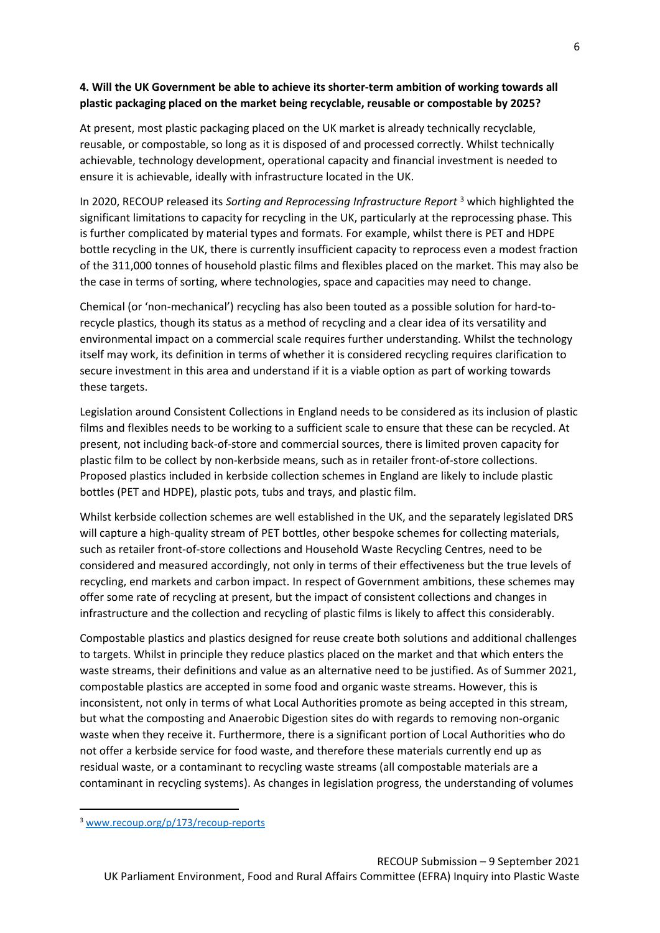#### **4. Will the UK Government be able to achieve its shorter-term ambition of working towards all plastic packaging placed on the market being recyclable, reusable or compostable by 2025?**

At present, most plastic packaging placed on the UK market is already technically recyclable, reusable, or compostable, so long as it is disposed of and processed correctly. Whilst technically achievable, technology development, operational capacity and financial investment is needed to ensure it is achievable, ideally with infrastructure located in the UK.

In 2020, RECOUP released its *Sorting and Reprocessing Infrastructure Report* <sup>3</sup> which highlighted the significant limitations to capacity for recycling in the UK, particularly at the reprocessing phase. This is further complicated by material types and formats. For example, whilst there is PET and HDPE bottle recycling in the UK, there is currently insufficient capacity to reprocess even a modest fraction of the 311,000 tonnes of household plastic films and flexibles placed on the market. This may also be the case in terms of sorting, where technologies, space and capacities may need to change.

Chemical (or 'non-mechanical') recycling has also been touted as a possible solution for hard-torecycle plastics, though its status as a method of recycling and a clear idea of its versatility and environmental impact on a commercial scale requires further understanding. Whilst the technology itself may work, its definition in terms of whether it is considered recycling requires clarification to secure investment in this area and understand if it is a viable option as part of working towards these targets.

Legislation around Consistent Collections in England needs to be considered as its inclusion of plastic films and flexibles needs to be working to a sufficient scale to ensure that these can be recycled. At present, not including back-of-store and commercial sources, there is limited proven capacity for plastic film to be collect by non-kerbside means, such as in retailer front-of-store collections. Proposed plastics included in kerbside collection schemes in England are likely to include plastic bottles (PET and HDPE), plastic pots, tubs and trays, and plastic film.

Whilst kerbside collection schemes are well established in the UK, and the separately legislated DRS will capture a high-quality stream of PET bottles, other bespoke schemes for collecting materials, such as retailer front-of-store collections and Household Waste Recycling Centres, need to be considered and measured accordingly, not only in terms of their effectiveness but the true levels of recycling, end markets and carbon impact. In respect of Government ambitions, these schemes may offer some rate of recycling at present, but the impact of consistent collections and changes in infrastructure and the collection and recycling of plastic films is likely to affect this considerably.

Compostable plastics and plastics designed for reuse create both solutions and additional challenges to targets. Whilst in principle they reduce plastics placed on the market and that which enters the waste streams, their definitions and value as an alternative need to be justified. As of Summer 2021, compostable plastics are accepted in some food and organic waste streams. However, this is inconsistent, not only in terms of what Local Authorities promote as being accepted in this stream, but what the composting and Anaerobic Digestion sites do with regards to removing non-organic waste when they receive it. Furthermore, there is a significant portion of Local Authorities who do not offer a kerbside service for food waste, and therefore these materials currently end up as residual waste, or a contaminant to recycling waste streams (all compostable materials are a contaminant in recycling systems). As changes in legislation progress, the understanding of volumes

<sup>3</sup> [www.recoup.org/p/173/recoup-reports](http://www.recoup.org/p/173/recoup-reports)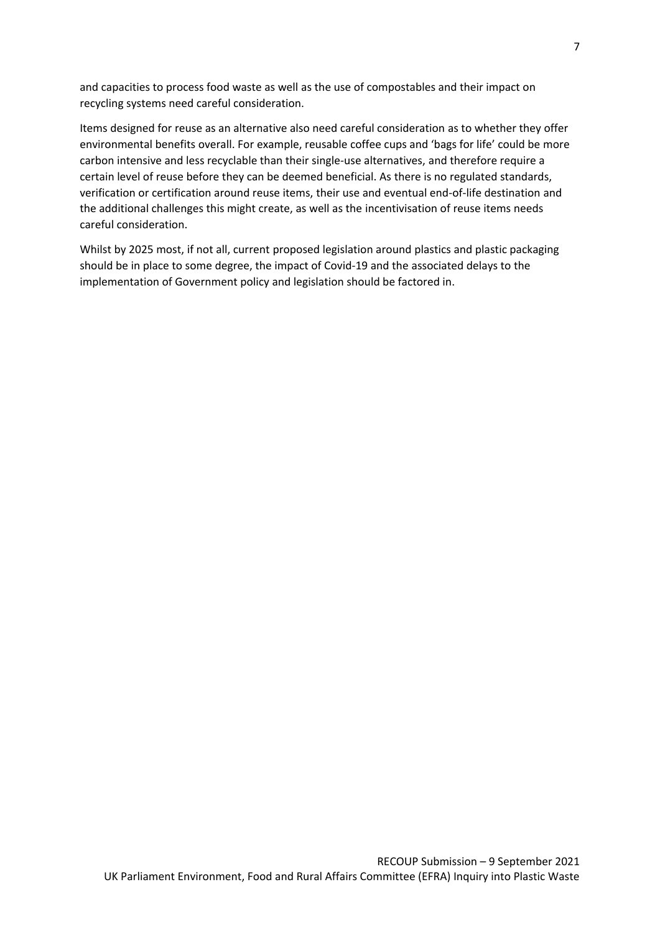and capacities to process food waste as well as the use of compostables and their impact on recycling systems need careful consideration.

Items designed for reuse as an alternative also need careful consideration as to whether they offer environmental benefits overall. For example, reusable coffee cups and 'bags for life' could be more carbon intensive and less recyclable than their single-use alternatives, and therefore require a certain level of reuse before they can be deemed beneficial. As there is no regulated standards, verification or certification around reuse items, their use and eventual end-of-life destination and the additional challenges this might create, as well as the incentivisation of reuse items needs careful consideration.

Whilst by 2025 most, if not all, current proposed legislation around plastics and plastic packaging should be in place to some degree, the impact of Covid-19 and the associated delays to the implementation of Government policy and legislation should be factored in.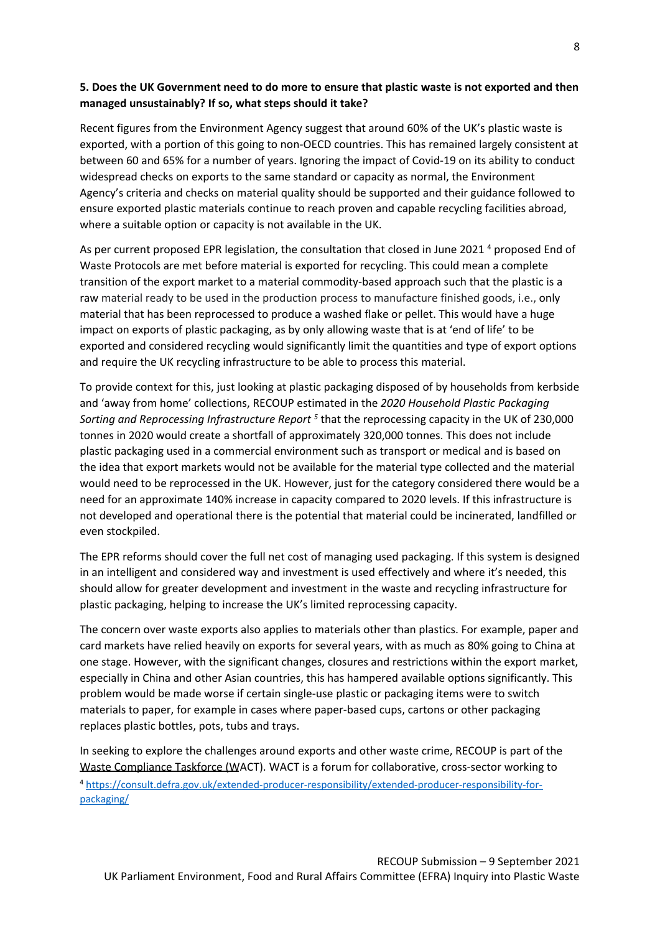#### 5. Does the UK Government need to do more to ensure that plastic waste is not exported and then **managed unsustainably? If so, what steps should it take?**

Recent figures from the Environment Agency suggest that around 60% of the UK's plastic waste is exported, with a portion of this going to non-OECD countries. This has remained largely consistent at between 60 and 65% for a number of years. Ignoring the impact of Covid-19 on its ability to conduct widespread checks on exports to the same standard or capacity as normal, the Environment Agency's criteria and checks on material quality should be supported and their guidance followed to ensure exported plastic materials continue to reach proven and capable recycling facilities abroad, where a suitable option or capacity is not available in the UK.

As per current proposed EPR legislation, the consultation that closed in June 2021<sup>4</sup> proposed End of Waste Protocols are met before material is exported for recycling. This could mean a complete transition of the export market to a material commodity-based approach such that the plastic is a raw material ready to be used in the production process to manufacture finished goods, i.e., only material that has been reprocessed to produce a washed flake or pellet. This would have a huge impact on exports of plastic packaging, as by only allowing waste that is at 'end of life' to be exported and considered recycling would significantly limit the quantities and type of export options and require the UK recycling infrastructure to be able to process this material.

To provide context for this, just looking at plastic packaging disposed of by households from kerbside and 'away from home' collections, RECOUP estimated in the *2020 Household Plastic Packaging* Sorting and *Reprocessing Infrastructure Report*<sup>5</sup> that the reprocessing capacity in the UK of 230,000 tonnes in 2020 would create a shortfall of approximately 320,000 tonnes. This does not include plastic packaging used in a commercial environment such as transport or medical and is based on the idea that export markets would not be available for the material type collected and the material would need to be reprocessed in the UK. However, just for the category considered there would be a need for an approximate 140% increase in capacity compared to 2020 levels. If this infrastructure is not developed and operational there is the potential that material could be incinerated, landfilled or even stockpiled.

The EPR reforms should cover the full net cost of managing used packaging. If this system is designed in an intelligent and considered way and investment is used effectively and where it's needed, this should allow for greater development and investment in the waste and recycling infrastructure for plastic packaging, helping to increase the UK's limited reprocessing capacity.

The concern over waste exports also applies to materials other than plastics. For example, paper and card markets have relied heavily on exports for several years, with as much as 80% going to China at one stage. However, with the significant changes, closures and restrictions within the export market, especially in China and other Asian countries, this has hampered available options significantly. This problem would be made worse if certain single-use plastic or packaging items were to switch materials to paper, for example in cases where paper-based cups, cartons or other packaging replaces plastic bottles, pots, tubs and trays.

In seeking to explore the challenges around exports and other waste crime, RECOUP is part of the Waste Compliance Taskforce (WACT). WACT is a forum for collaborative, cross-sector working to <sup>4</sup> [https://consult.defra.gov.uk/extended-producer-responsibility/extended-producer-responsibility-for](https://consult.defra.gov.uk/extended-producer-responsibility/extended-producer-responsibility-for-packaging/)[packaging/](https://consult.defra.gov.uk/extended-producer-responsibility/extended-producer-responsibility-for-packaging/)